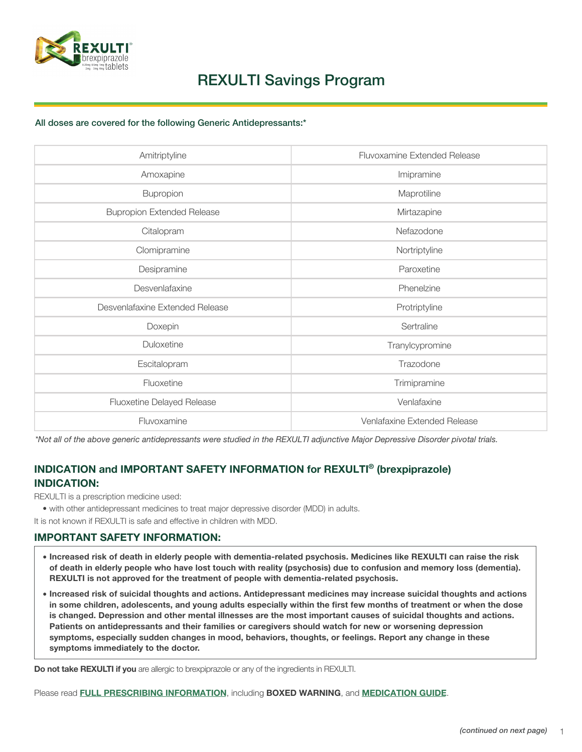Please read **[FULL PRESCRIBING INFORMATION](https://otsuka-us.com/sites/g/files/qhldwo4131/files/media/static/Rexulti-PI.pdf)**, including **BOXED WARNING**, and **[MEDICATION GUIDE](https://otsuka-us.com/sites/g/files/qhldwo4131/files/media/static/Rexulti-Medguide.pdf)**.

- **Increased risk of death in elderly people with dementia-related psychosis. Medicines like REXULTI can raise the risk of death in elderly people who have lost touch with reality (psychosis) due to confusion and memory loss (dementia). REXULTI is not approved for the treatment of people with dementia-related psychosis.**
- **Increased risk of suicidal thoughts and actions. Antidepressant medicines may increase suicidal thoughts and actions in some children, adolescents, and young adults especially within the first few months of treatment or when the dose is changed. Depression and other mental illnesses are the most important causes of suicidal thoughts and actions. Patients on antidepressants and their families or caregivers should watch for new or worsening depression symptoms, especially sudden changes in mood, behaviors, thoughts, or feelings. Report any change in these symptoms immediately to the doctor.**

**Do not take REXULTI if you** are allergic to brexpiprazole or any of the ingredients in REXULTI.

### **IMPORTANT SAFETY INFORMATION:**

It is not known if REXULTI is safe and effective in children with MDD.

REXULTI is a prescription medicine used:

• with other antidepressant medicines to treat major depressive disorder (MDD) in adults.

### **INDICATION: INDICATION and IMPORTANT SAFETY INFORMATION for REXULTI® (brexpiprazole)**

*\*Not all of the above generic antidepressants were studied in the REXULTI adjunctive Major Depressive Disorder pivotal trials.*

| Amitriptyline                     | <b>Fluvoxamine Extended Release</b> |
|-----------------------------------|-------------------------------------|
| Amoxapine                         | Imipramine                          |
| <b>Bupropion</b>                  | Maprotiline                         |
| <b>Bupropion Extended Release</b> | Mirtazapine                         |
| Citalopram                        | Nefazodone                          |
| Clomipramine                      | Nortriptyline                       |
| Desipramine                       | Paroxetine                          |
| Desvenlafaxine                    | Phenelzine                          |
| Desvenlafaxine Extended Release   | Protriptyline                       |
| Doxepin                           | Sertraline                          |
| <b>Duloxetine</b>                 | Tranylcypromine                     |
| Escitalopram                      | Trazodone                           |
| Fluoxetine                        | Trimipramine                        |
| <b>Fluoxetine Delayed Release</b> | Venlafaxine                         |
| Fluvoxamine                       | Venlafaxine Extended Release        |

All doses are covered for the following Generic Antidepressants:\*



# REXULTI Savings Program